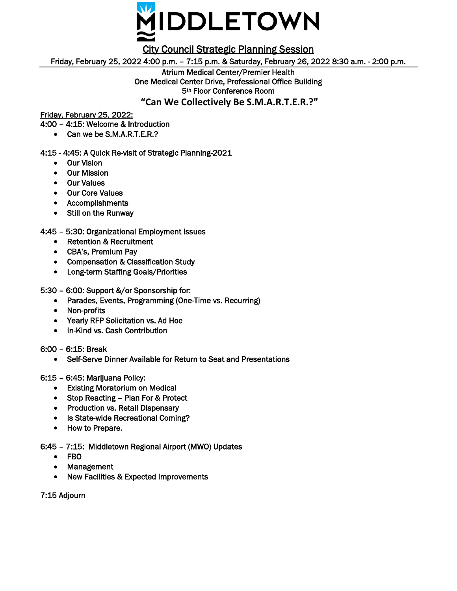

City Council Strategic Planning Session

Friday, February 25, 2022 4:00 p.m. – 7:15 p.m. & Saturday, February 26, 2022 8:30 a.m. - 2:00 p.m.

Atrium Medical Center/Premier Health One Medical Center Drive, Professional Office Building 5th Floor Conference Room **"Can We Collectively Be S.M.A.R.T.E.R.?"**

Friday, February 25, 2022:

4:00 – 4:15: Welcome & Introduction

• Can we be S.M.A.R.T.E.R.?

4:15 - 4:45: A Quick Re-visit of Strategic Planning-2021

- Our Vision
- Our Mission
- Our Values
- Our Core Values
- Accomplishments
- Still on the Runway

4:45 – 5:30: Organizational Employment Issues

- Retention & Recruitment
- CBA's, Premium Pay
- Compensation & Classification Study
- Long-term Staffing Goals/Priorities

5:30 – 6:00: Support &/or Sponsorship for:

- Parades, Events, Programming (One-Time vs. Recurring)
- Non-profits
- Yearly RFP Solicitation vs. Ad Hoc
- In-Kind vs. Cash Contribution
- 6:00 6:15: Break
	- Self-Serve Dinner Available for Return to Seat and Presentations

## 6:15 – 6:45: Marijuana Policy:

- Existing Moratorium on Medical
- Stop Reacting Plan For & Protect
- Production vs. Retail Dispensary
- Is State-wide Recreational Coming?
- How to Prepare.

6:45 – 7:15: Middletown Regional Airport (MWO) Updates

- FBO
- Management
- New Facilities & Expected Improvements

7:15 Adjourn